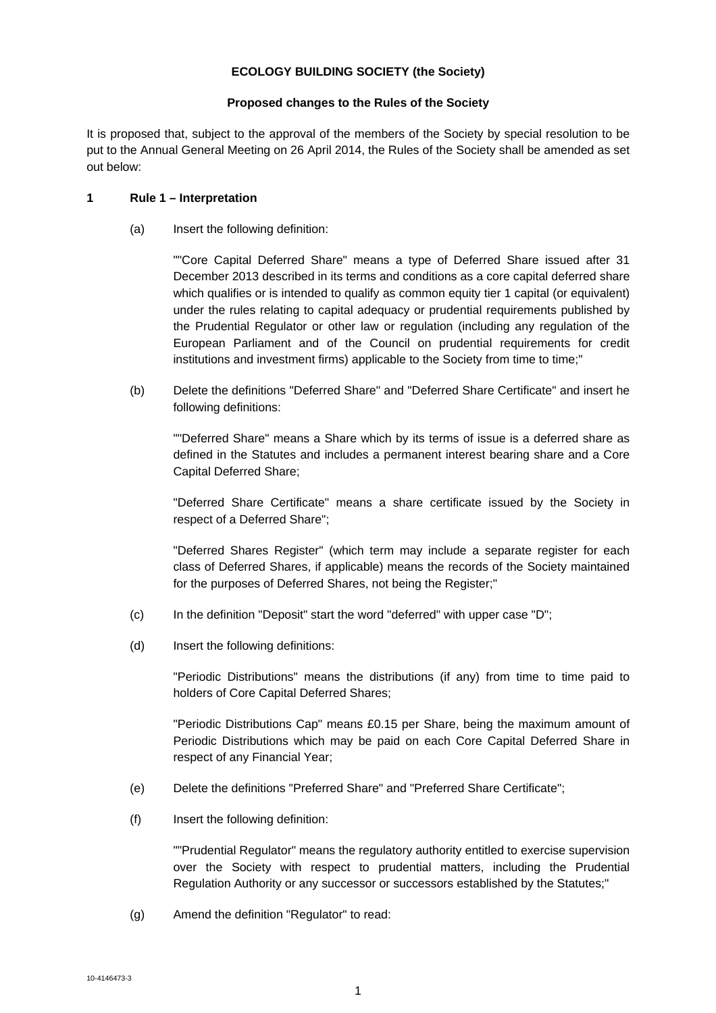# **ECOLOGY BUILDING SOCIETY (the Society)**

# **Proposed changes to the Rules of the Society**

It is proposed that, subject to the approval of the members of the Society by special resolution to be put to the Annual General Meeting on 26 April 2014, the Rules of the Society shall be amended as set out below:

# **1 Rule 1 – Interpretation**

(a) Insert the following definition:

""Core Capital Deferred Share" means a type of Deferred Share issued after 31 December 2013 described in its terms and conditions as a core capital deferred share which qualifies or is intended to qualify as common equity tier 1 capital (or equivalent) under the rules relating to capital adequacy or prudential requirements published by the Prudential Regulator or other law or regulation (including any regulation of the European Parliament and of the Council on prudential requirements for credit institutions and investment firms) applicable to the Society from time to time;"

(b) Delete the definitions "Deferred Share" and "Deferred Share Certificate" and insert he following definitions:

""Deferred Share" means a Share which by its terms of issue is a deferred share as defined in the Statutes and includes a permanent interest bearing share and a Core Capital Deferred Share;

"Deferred Share Certificate" means a share certificate issued by the Society in respect of a Deferred Share";

"Deferred Shares Register" (which term may include a separate register for each class of Deferred Shares, if applicable) means the records of the Society maintained for the purposes of Deferred Shares, not being the Register;"

- (c) In the definition "Deposit" start the word "deferred" with upper case "D";
- (d) Insert the following definitions:

"Periodic Distributions" means the distributions (if any) from time to time paid to holders of Core Capital Deferred Shares;

"Periodic Distributions Cap" means £0.15 per Share, being the maximum amount of Periodic Distributions which may be paid on each Core Capital Deferred Share in respect of any Financial Year;

- (e) Delete the definitions "Preferred Share" and "Preferred Share Certificate";
- (f) Insert the following definition:

""Prudential Regulator" means the regulatory authority entitled to exercise supervision over the Society with respect to prudential matters, including the Prudential Regulation Authority or any successor or successors established by the Statutes;"

(g) Amend the definition "Regulator" to read: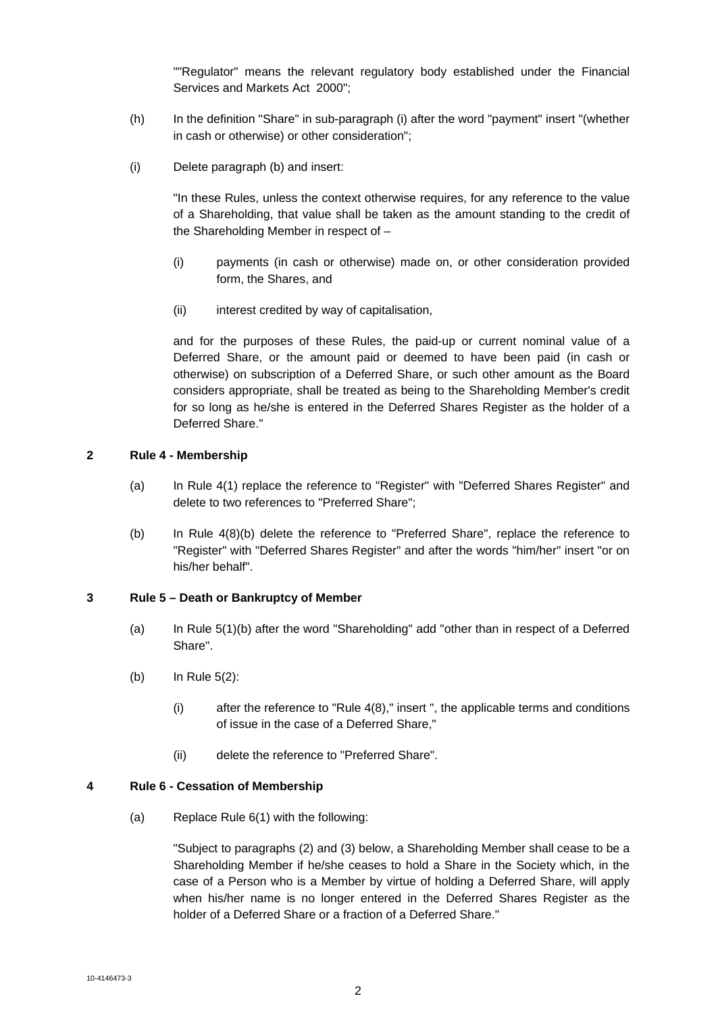""Regulator" means the relevant regulatory body established under the Financial Services and Markets Act 2000";

- (h) In the definition "Share" in sub-paragraph (i) after the word "payment" insert "(whether in cash or otherwise) or other consideration";
- (i) Delete paragraph (b) and insert:

"In these Rules, unless the context otherwise requires, for any reference to the value of a Shareholding, that value shall be taken as the amount standing to the credit of the Shareholding Member in respect of –

- (i) payments (in cash or otherwise) made on, or other consideration provided form, the Shares, and
- (ii) interest credited by way of capitalisation,

and for the purposes of these Rules, the paid-up or current nominal value of a Deferred Share, or the amount paid or deemed to have been paid (in cash or otherwise) on subscription of a Deferred Share, or such other amount as the Board considers appropriate, shall be treated as being to the Shareholding Member's credit for so long as he/she is entered in the Deferred Shares Register as the holder of a Deferred Share."

## **2 Rule 4 - Membership**

- (a) In Rule 4(1) replace the reference to "Register" with "Deferred Shares Register" and delete to two references to "Preferred Share";
- (b) In Rule 4(8)(b) delete the reference to "Preferred Share", replace the reference to "Register" with "Deferred Shares Register" and after the words "him/her" insert "or on his/her behalf".

# **3 Rule 5 – Death or Bankruptcy of Member**

- (a) In Rule 5(1)(b) after the word "Shareholding" add "other than in respect of a Deferred Share".
- (b) In Rule 5(2):
	- (i) after the reference to "Rule 4(8)," insert ", the applicable terms and conditions of issue in the case of a Deferred Share,"
	- (ii) delete the reference to "Preferred Share".

### **4 Rule 6 - Cessation of Membership**

(a) Replace Rule 6(1) with the following:

"Subject to paragraphs (2) and (3) below, a Shareholding Member shall cease to be a Shareholding Member if he/she ceases to hold a Share in the Society which, in the case of a Person who is a Member by virtue of holding a Deferred Share, will apply when his/her name is no longer entered in the Deferred Shares Register as the holder of a Deferred Share or a fraction of a Deferred Share."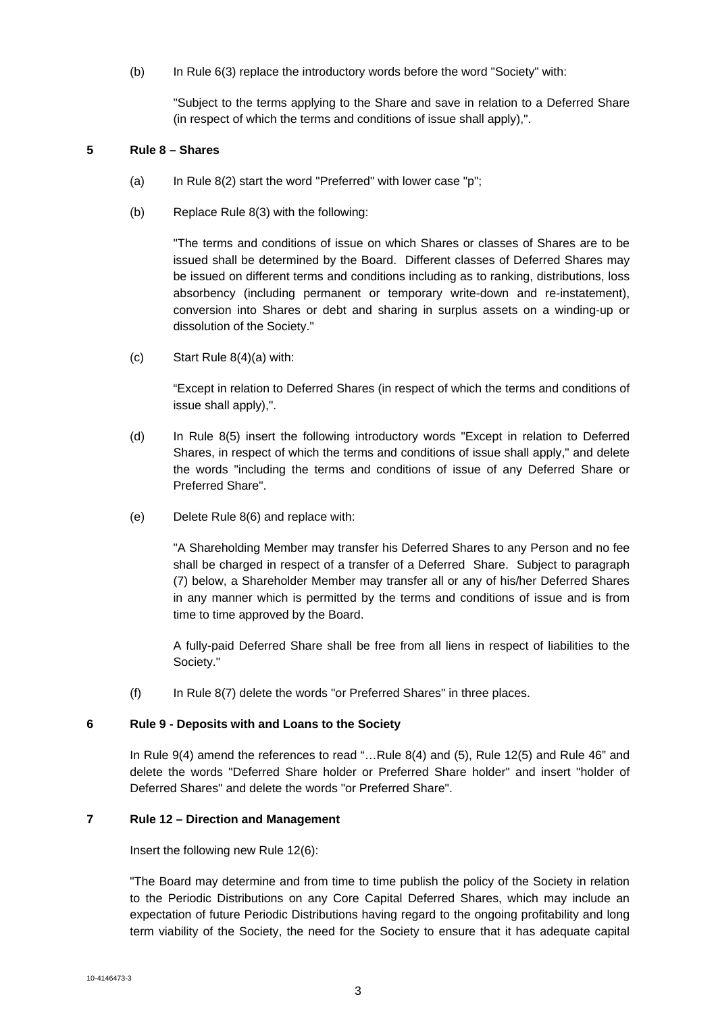(b) In Rule 6(3) replace the introductory words before the word "Society" with:

"Subject to the terms applying to the Share and save in relation to a Deferred Share (in respect of which the terms and conditions of issue shall apply),".

## **5 Rule 8 – Shares**

- (a) In Rule  $8(2)$  start the word "Preferred" with lower case "p";
- (b) Replace Rule 8(3) with the following:

"The terms and conditions of issue on which Shares or classes of Shares are to be issued shall be determined by the Board. Different classes of Deferred Shares may be issued on different terms and conditions including as to ranking, distributions, loss absorbency (including permanent or temporary write-down and re-instatement), conversion into Shares or debt and sharing in surplus assets on a winding-up or dissolution of the Society."

(c) Start Rule 8(4)(a) with:

"Except in relation to Deferred Shares (in respect of which the terms and conditions of issue shall apply),".

- (d) In Rule 8(5) insert the following introductory words "Except in relation to Deferred Shares, in respect of which the terms and conditions of issue shall apply," and delete the words "including the terms and conditions of issue of any Deferred Share or Preferred Share".
- (e) Delete Rule 8(6) and replace with:

"A Shareholding Member may transfer his Deferred Shares to any Person and no fee shall be charged in respect of a transfer of a Deferred Share. Subject to paragraph (7) below, a Shareholder Member may transfer all or any of his/her Deferred Shares in any manner which is permitted by the terms and conditions of issue and is from time to time approved by the Board.

A fully-paid Deferred Share shall be free from all liens in respect of liabilities to the Society."

(f) In Rule 8(7) delete the words "or Preferred Shares" in three places.

### **6 Rule 9 - Deposits with and Loans to the Society**

In Rule 9(4) amend the references to read "…Rule 8(4) and (5), Rule 12(5) and Rule 46" and delete the words "Deferred Share holder or Preferred Share holder" and insert "holder of Deferred Shares" and delete the words "or Preferred Share".

### **7 Rule 12 – Direction and Management**

Insert the following new Rule 12(6):

"The Board may determine and from time to time publish the policy of the Society in relation to the Periodic Distributions on any Core Capital Deferred Shares, which may include an expectation of future Periodic Distributions having regard to the ongoing profitability and long term viability of the Society, the need for the Society to ensure that it has adequate capital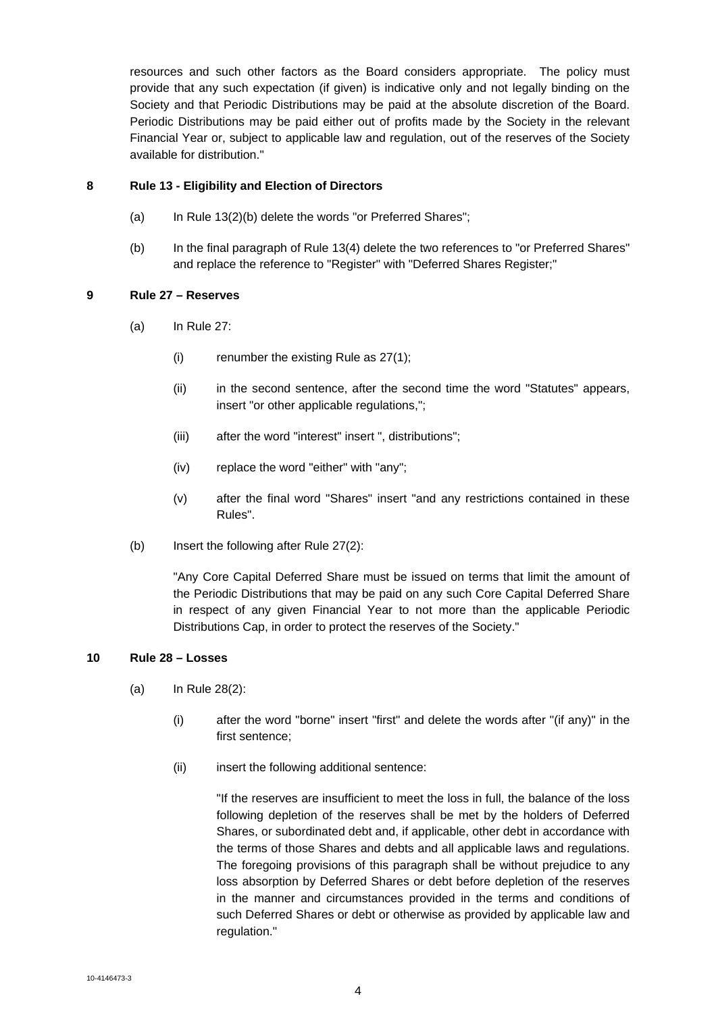resources and such other factors as the Board considers appropriate. The policy must provide that any such expectation (if given) is indicative only and not legally binding on the Society and that Periodic Distributions may be paid at the absolute discretion of the Board. Periodic Distributions may be paid either out of profits made by the Society in the relevant Financial Year or, subject to applicable law and regulation, out of the reserves of the Society available for distribution."

# **8 Rule 13 - Eligibility and Election of Directors**

- (a) In Rule 13(2)(b) delete the words "or Preferred Shares";
- (b) In the final paragraph of Rule 13(4) delete the two references to "or Preferred Shares" and replace the reference to "Register" with "Deferred Shares Register;"

# **9 Rule 27 – Reserves**

- (a) In Rule 27:
	- (i) renumber the existing Rule as 27(1);
	- (ii) in the second sentence, after the second time the word "Statutes" appears, insert "or other applicable regulations,";
	- (iii) after the word "interest" insert ", distributions";
	- (iv) replace the word "either" with "any";
	- (v) after the final word "Shares" insert "and any restrictions contained in these Rules".
- (b) Insert the following after Rule 27(2):

"Any Core Capital Deferred Share must be issued on terms that limit the amount of the Periodic Distributions that may be paid on any such Core Capital Deferred Share in respect of any given Financial Year to not more than the applicable Periodic Distributions Cap, in order to protect the reserves of the Society."

# **10 Rule 28 – Losses**

- (a) In Rule 28(2):
	- (i) after the word "borne" insert "first" and delete the words after "(if any)" in the first sentence;
	- (ii) insert the following additional sentence:

"If the reserves are insufficient to meet the loss in full, the balance of the loss following depletion of the reserves shall be met by the holders of Deferred Shares, or subordinated debt and, if applicable, other debt in accordance with the terms of those Shares and debts and all applicable laws and regulations. The foregoing provisions of this paragraph shall be without prejudice to any loss absorption by Deferred Shares or debt before depletion of the reserves in the manner and circumstances provided in the terms and conditions of such Deferred Shares or debt or otherwise as provided by applicable law and regulation."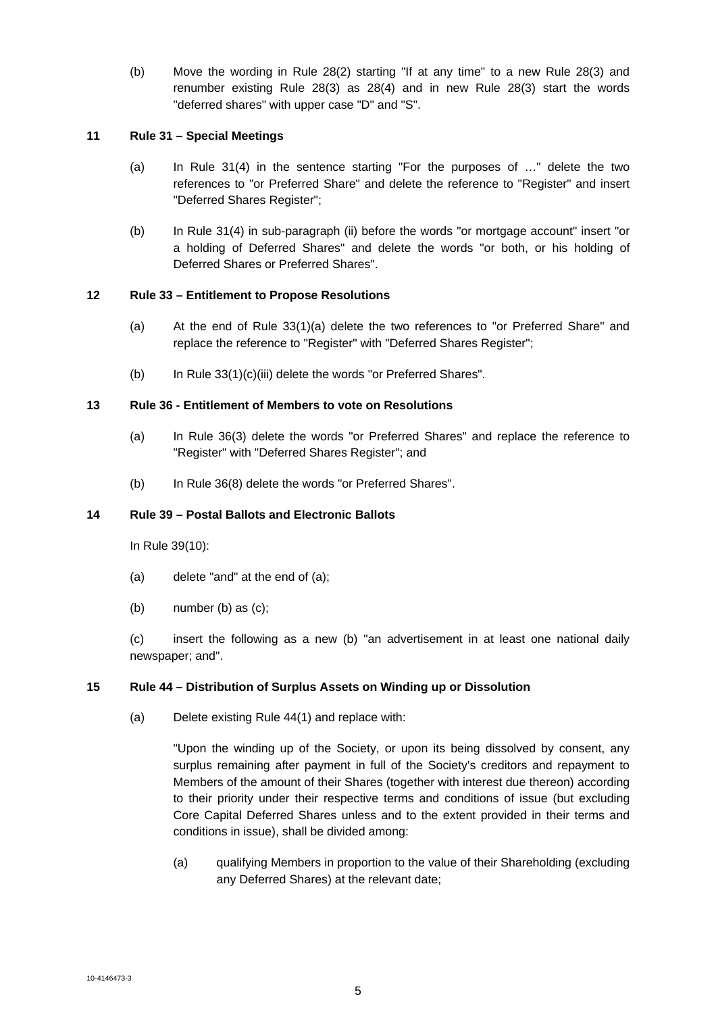(b) Move the wording in Rule 28(2) starting "If at any time" to a new Rule 28(3) and renumber existing Rule 28(3) as 28(4) and in new Rule 28(3) start the words "deferred shares" with upper case "D" and "S".

## **11 Rule 31 – Special Meetings**

- (a) In Rule 31(4) in the sentence starting "For the purposes of …" delete the two references to "or Preferred Share" and delete the reference to "Register" and insert "Deferred Shares Register";
- (b) In Rule 31(4) in sub-paragraph (ii) before the words "or mortgage account" insert "or a holding of Deferred Shares" and delete the words "or both, or his holding of Deferred Shares or Preferred Shares".

# **12 Rule 33 – Entitlement to Propose Resolutions**

- (a) At the end of Rule 33(1)(a) delete the two references to "or Preferred Share" and replace the reference to "Register" with "Deferred Shares Register";
- (b) In Rule 33(1)(c)(iii) delete the words "or Preferred Shares".

# **13 Rule 36 - Entitlement of Members to vote on Resolutions**

- (a) In Rule 36(3) delete the words "or Preferred Shares" and replace the reference to "Register" with "Deferred Shares Register"; and
- (b) In Rule 36(8) delete the words "or Preferred Shares".

# **14 Rule 39 – Postal Ballots and Electronic Ballots**

In Rule 39(10):

- (a) delete "and" at the end of (a);
- (b) number (b) as (c);

(c) insert the following as a new (b) "an advertisement in at least one national daily newspaper; and".

### **15 Rule 44 – Distribution of Surplus Assets on Winding up or Dissolution**

(a) Delete existing Rule 44(1) and replace with:

"Upon the winding up of the Society, or upon its being dissolved by consent, any surplus remaining after payment in full of the Society's creditors and repayment to Members of the amount of their Shares (together with interest due thereon) according to their priority under their respective terms and conditions of issue (but excluding Core Capital Deferred Shares unless and to the extent provided in their terms and conditions in issue), shall be divided among:

(a) qualifying Members in proportion to the value of their Shareholding (excluding any Deferred Shares) at the relevant date;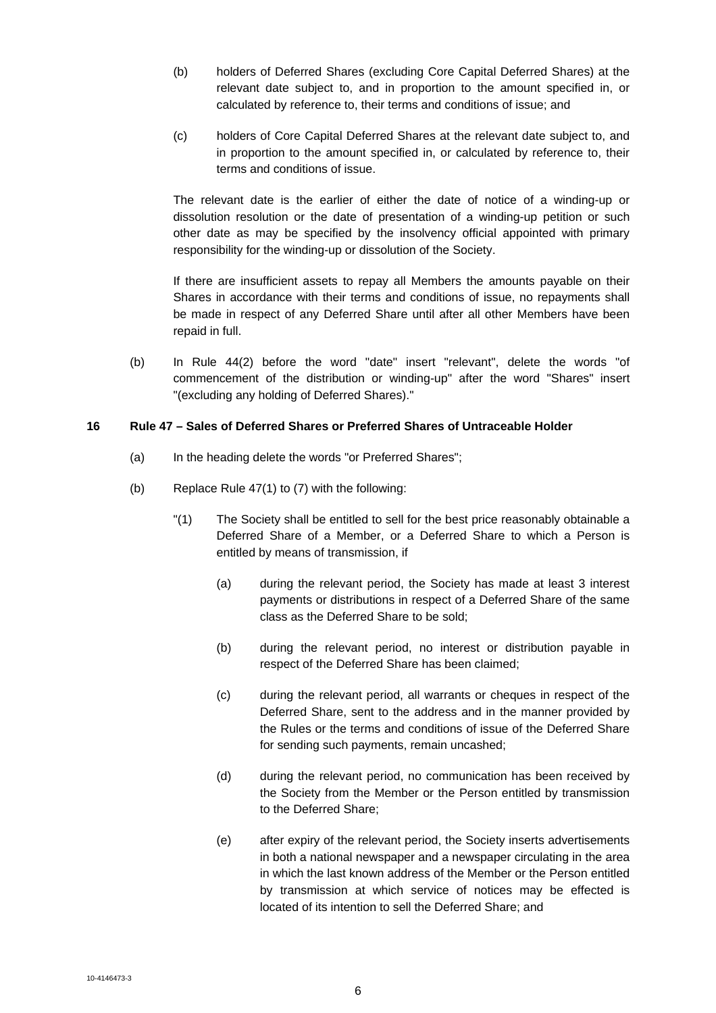- (b) holders of Deferred Shares (excluding Core Capital Deferred Shares) at the relevant date subject to, and in proportion to the amount specified in, or calculated by reference to, their terms and conditions of issue; and
- (c) holders of Core Capital Deferred Shares at the relevant date subject to, and in proportion to the amount specified in, or calculated by reference to, their terms and conditions of issue.

The relevant date is the earlier of either the date of notice of a winding-up or dissolution resolution or the date of presentation of a winding-up petition or such other date as may be specified by the insolvency official appointed with primary responsibility for the winding-up or dissolution of the Society.

If there are insufficient assets to repay all Members the amounts payable on their Shares in accordance with their terms and conditions of issue, no repayments shall be made in respect of any Deferred Share until after all other Members have been repaid in full.

(b) In Rule 44(2) before the word "date" insert "relevant", delete the words "of commencement of the distribution or winding-up" after the word "Shares" insert "(excluding any holding of Deferred Shares)."

# **16 Rule 47 – Sales of Deferred Shares or Preferred Shares of Untraceable Holder**

- (a) In the heading delete the words "or Preferred Shares":
- (b) Replace Rule 47(1) to (7) with the following:
	- "(1) The Society shall be entitled to sell for the best price reasonably obtainable a Deferred Share of a Member, or a Deferred Share to which a Person is entitled by means of transmission, if
		- (a) during the relevant period, the Society has made at least 3 interest payments or distributions in respect of a Deferred Share of the same class as the Deferred Share to be sold;
		- (b) during the relevant period, no interest or distribution payable in respect of the Deferred Share has been claimed;
		- (c) during the relevant period, all warrants or cheques in respect of the Deferred Share, sent to the address and in the manner provided by the Rules or the terms and conditions of issue of the Deferred Share for sending such payments, remain uncashed;
		- (d) during the relevant period, no communication has been received by the Society from the Member or the Person entitled by transmission to the Deferred Share;
		- (e) after expiry of the relevant period, the Society inserts advertisements in both a national newspaper and a newspaper circulating in the area in which the last known address of the Member or the Person entitled by transmission at which service of notices may be effected is located of its intention to sell the Deferred Share; and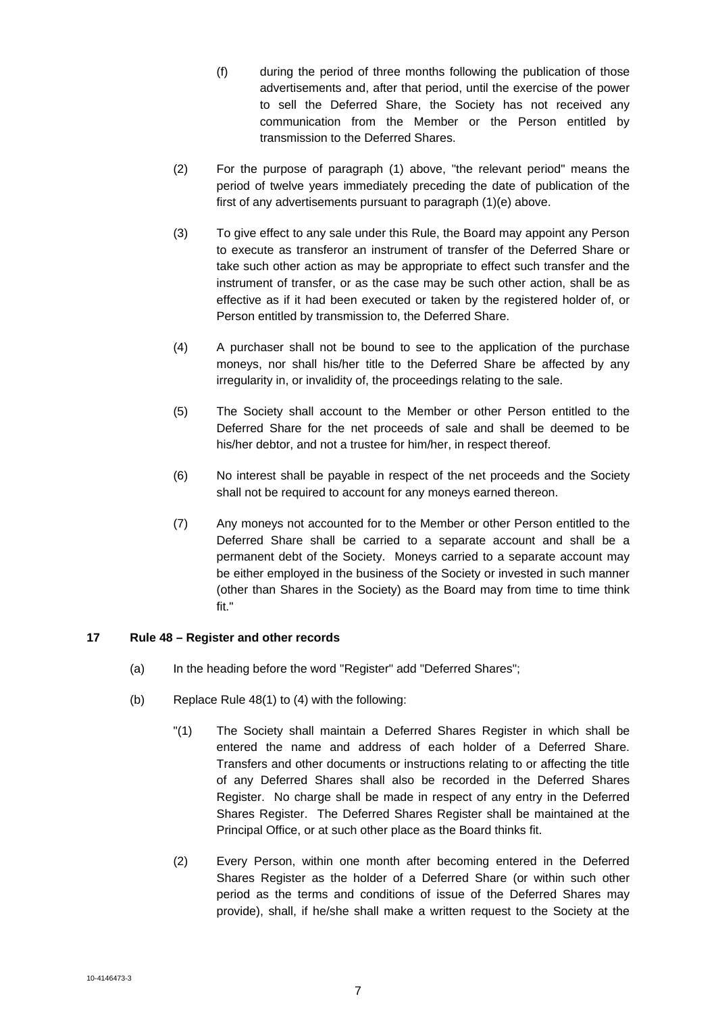- (f) during the period of three months following the publication of those advertisements and, after that period, until the exercise of the power to sell the Deferred Share, the Society has not received any communication from the Member or the Person entitled by transmission to the Deferred Shares.
- (2) For the purpose of paragraph (1) above, "the relevant period" means the period of twelve years immediately preceding the date of publication of the first of any advertisements pursuant to paragraph (1)(e) above.
- (3) To give effect to any sale under this Rule, the Board may appoint any Person to execute as transferor an instrument of transfer of the Deferred Share or take such other action as may be appropriate to effect such transfer and the instrument of transfer, or as the case may be such other action, shall be as effective as if it had been executed or taken by the registered holder of, or Person entitled by transmission to, the Deferred Share.
- (4) A purchaser shall not be bound to see to the application of the purchase moneys, nor shall his/her title to the Deferred Share be affected by any irregularity in, or invalidity of, the proceedings relating to the sale.
- (5) The Society shall account to the Member or other Person entitled to the Deferred Share for the net proceeds of sale and shall be deemed to be his/her debtor, and not a trustee for him/her, in respect thereof.
- (6) No interest shall be payable in respect of the net proceeds and the Society shall not be required to account for any moneys earned thereon.
- (7) Any moneys not accounted for to the Member or other Person entitled to the Deferred Share shall be carried to a separate account and shall be a permanent debt of the Society. Moneys carried to a separate account may be either employed in the business of the Society or invested in such manner (other than Shares in the Society) as the Board may from time to time think fit."

# **17 Rule 48 – Register and other records**

- (a) In the heading before the word "Register" add "Deferred Shares";
- (b) Replace Rule 48(1) to (4) with the following:
	- "(1) The Society shall maintain a Deferred Shares Register in which shall be entered the name and address of each holder of a Deferred Share. Transfers and other documents or instructions relating to or affecting the title of any Deferred Shares shall also be recorded in the Deferred Shares Register. No charge shall be made in respect of any entry in the Deferred Shares Register. The Deferred Shares Register shall be maintained at the Principal Office, or at such other place as the Board thinks fit.
	- (2) Every Person, within one month after becoming entered in the Deferred Shares Register as the holder of a Deferred Share (or within such other period as the terms and conditions of issue of the Deferred Shares may provide), shall, if he/she shall make a written request to the Society at the